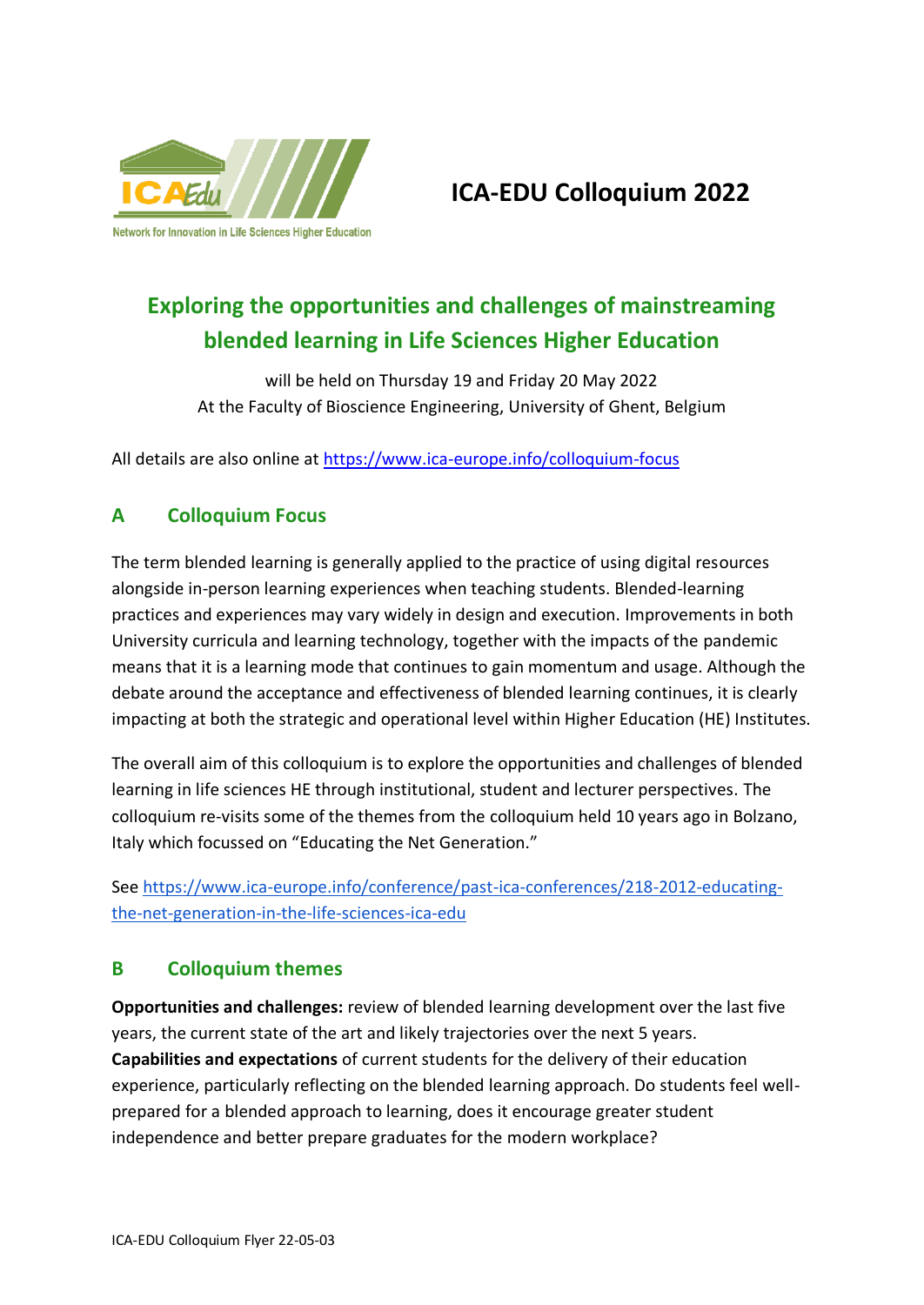

# **ICA-EDU Colloquium 2022**

# **Exploring the opportunities and challenges of mainstreaming blended learning in Life Sciences Higher Education**

will be held on Thursday 19 and Friday 20 May 2022 At the Faculty of Bioscience Engineering, University of Ghent, Belgium

All details are also online at<https://www.ica-europe.info/colloquium-focus>

# **A Colloquium Focus**

The term blended learning is generally applied to the practice of using digital resources alongside in-person learning experiences when teaching students. Blended-learning practices and experiences may vary widely in design and execution. Improvements in both University curricula and learning technology, together with the impacts of the pandemic means that it is a learning mode that continues to gain momentum and usage. Although the debate around the acceptance and effectiveness of blended learning continues, it is clearly impacting at both the strategic and operational level within Higher Education (HE) Institutes.

The overall aim of this colloquium is to explore the opportunities and challenges of blended learning in life sciences HE through institutional, student and lecturer perspectives. The colloquium re-visits some of the themes from the colloquium held 10 years ago in Bolzano, Italy which focussed on "Educating the Net Generation."

Se[e](https://www.ica-europe.info/conference/past-ica-conferences/218-2012-educating-the-net-generation-in-the-life-sciences-ica-edu) [https://www.ica-europe.info/conference/past-ica-conferences/218-2012-educating](https://www.ica-europe.info/conference/past-ica-conferences/218-2012-educating-the-net-generation-in-the-life-sciences-ica-edu)[the-net-generation-in-the-life-sciences-ica-edu](https://www.ica-europe.info/conference/past-ica-conferences/218-2012-educating-the-net-generation-in-the-life-sciences-ica-edu)

# **B Colloquium themes**

**Opportunities and challenges:** review of blended learning development over the last five years, the current state of the art and likely trajectories over the next 5 years. **Capabilities and expectations** of current students for the delivery of their education experience, particularly reflecting on the blended learning approach. Do students feel wellprepared for a blended approach to learning, does it encourage greater student independence and better prepare graduates for the modern workplace?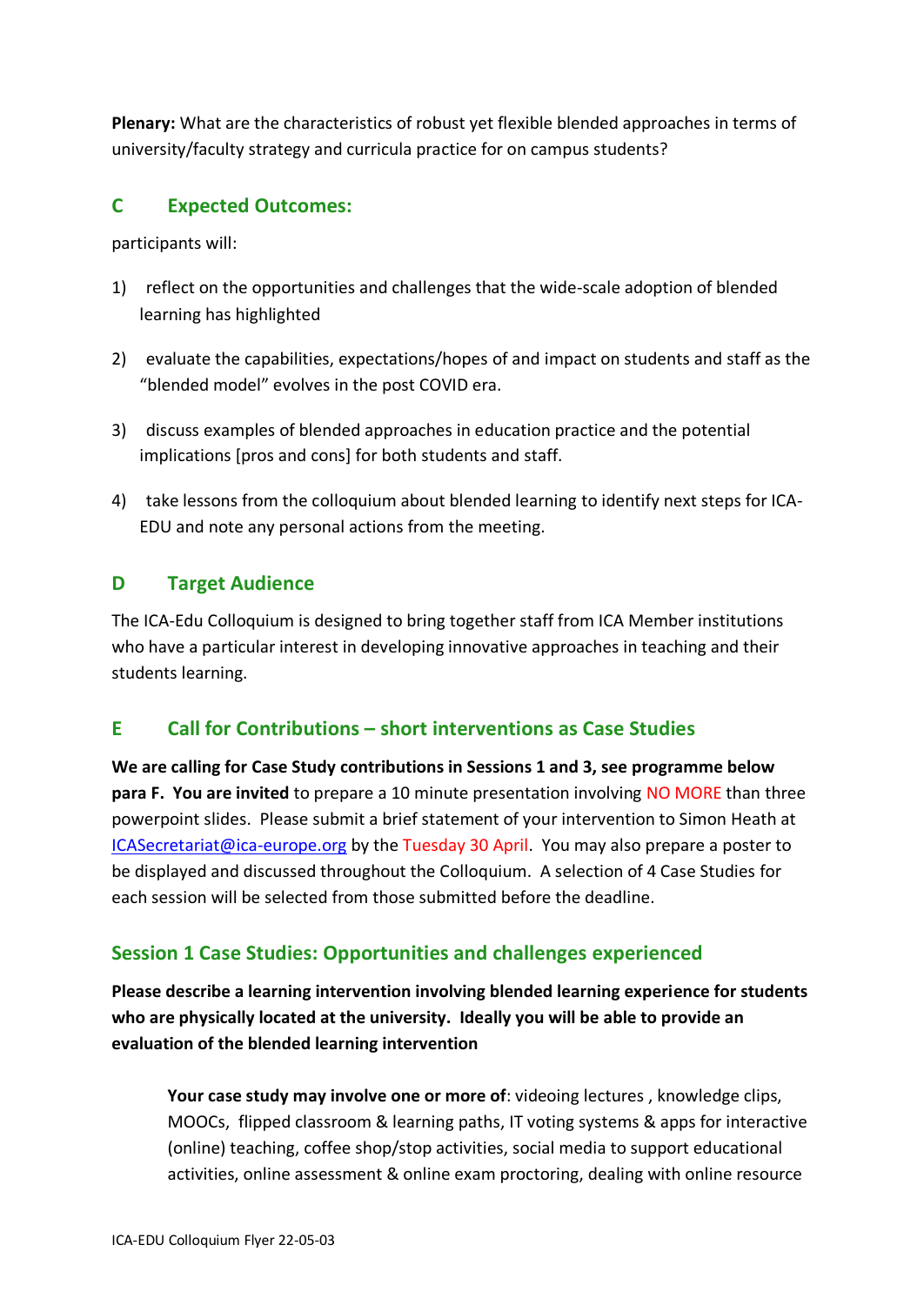**Plenary:** What are the characteristics of robust yet flexible blended approaches in terms of university/faculty strategy and curricula practice for on campus students?

## **C Expected Outcomes:**

participants will:

- 1) reflect on the opportunities and challenges that the wide-scale adoption of blended learning has highlighted
- 2) evaluate the capabilities, expectations/hopes of and impact on students and staff as the "blended model" evolves in the post COVID era.
- 3) discuss examples of blended approaches in education practice and the potential implications [pros and cons] for both students and staff.
- 4) take lessons from the colloquium about blended learning to identify next steps for ICA-EDU and note any personal actions from the meeting.

## **D Target Audience**

The ICA-Edu Colloquium is designed to bring together staff from ICA Member institutions who have a particular interest in developing innovative approaches in teaching and their students learning.

## **E Call for Contributions – short interventions as Case Studies**

**We are calling for Case Study contributions in Sessions 1 and 3, see programme below para F. You are invited** to prepare a 10 minute presentation involving NO MORE than three powerpoint slides. Please submit a brief statement of your intervention to Simon Heath at [ICASecretariat@ica-europe.org](mailto:ICASecretariat@ica-europe.org) by the Tuesday 30 April. You may also prepare a poster to be displayed and discussed throughout the Colloquium. A selection of 4 Case Studies for each session will be selected from those submitted before the deadline.

# **Session 1 Case Studies: Opportunities and challenges experienced**

**Please describe a learning intervention involving blended learning experience for students who are physically located at the university. Ideally you will be able to provide an evaluation of the blended learning intervention**

**Your case study may involve one or more of**: videoing lectures , knowledge clips, MOOCs, flipped classroom & learning paths, IT voting systems & apps for interactive (online) teaching, coffee shop/stop activities, social media to support educational activities, online assessment & online exam proctoring, dealing with online resource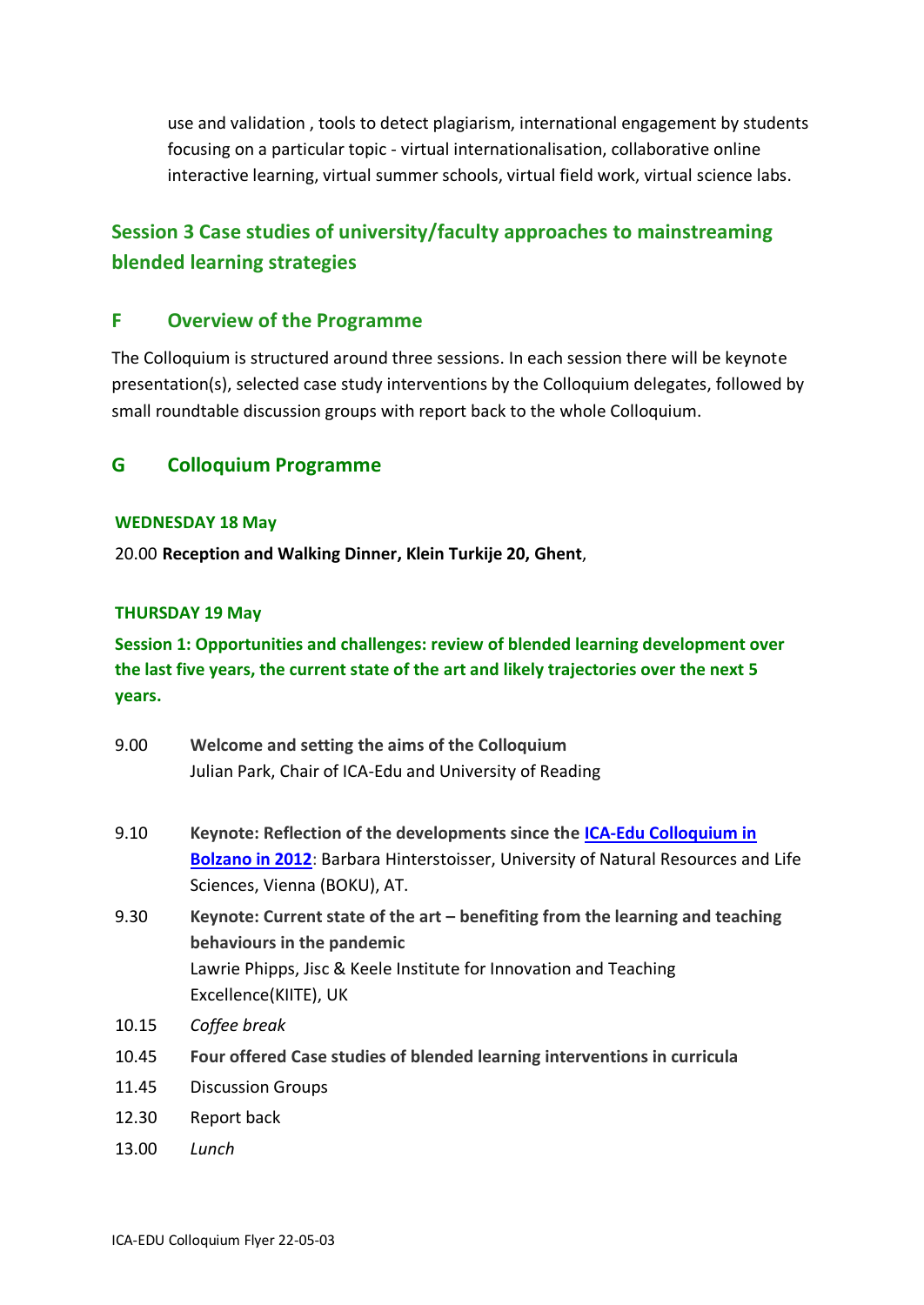use and validation , tools to detect plagiarism, international engagement by students focusing on a particular topic - virtual internationalisation, collaborative online interactive learning, virtual summer schools, virtual field work, virtual science labs.

# **Session 3 Case studies of university/faculty approaches to mainstreaming blended learning strategies**

### **F Overview of the Programme**

The Colloquium is structured around three sessions. In each session there will be keynote presentation(s), selected case study interventions by the Colloquium delegates, followed by small roundtable discussion groups with report back to the whole Colloquium.

### **G Colloquium Programme**

#### **WEDNESDAY 18 May**

20.00 **Reception and Walking Dinner, Klein Turkije 20, Ghent**,

#### **THURSDAY 19 May**

**Session 1: Opportunities and challenges: review of blended learning development over the last five years, the current state of the art and likely trajectories over the next 5 years.**

- 9.00 **Welcome and setting the aims of the Colloquium** Julian Park, Chair of ICA-Edu and University of Reading
- 9.10 **Keynote: Reflection of the developments since the [ICA-Edu Colloquium in](https://www.ica-europe.info/conference/past-ica-conferences/218-2012-educating-the-net-generation-in-the-life-sciences-ica-edu)  [Bolzano in 2012](https://www.ica-europe.info/conference/past-ica-conferences/218-2012-educating-the-net-generation-in-the-life-sciences-ica-edu)**: Barbara Hinterstoisser, University of Natural Resources and Life Sciences, Vienna (BOKU), AT.
- 9.30 **Keynote: Current state of the art – benefiting from the learning and teaching behaviours in the pandemic** Lawrie Phipps, Jisc & Keele Institute for Innovation and Teaching Excellence(KIITE), UK
- 10.15 *Coffee break*
- 10.45 **Four offered Case studies of blended learning interventions in curricula**
- 11.45 Discussion Groups
- 12.30 Report back
- 13.00 *Lunch*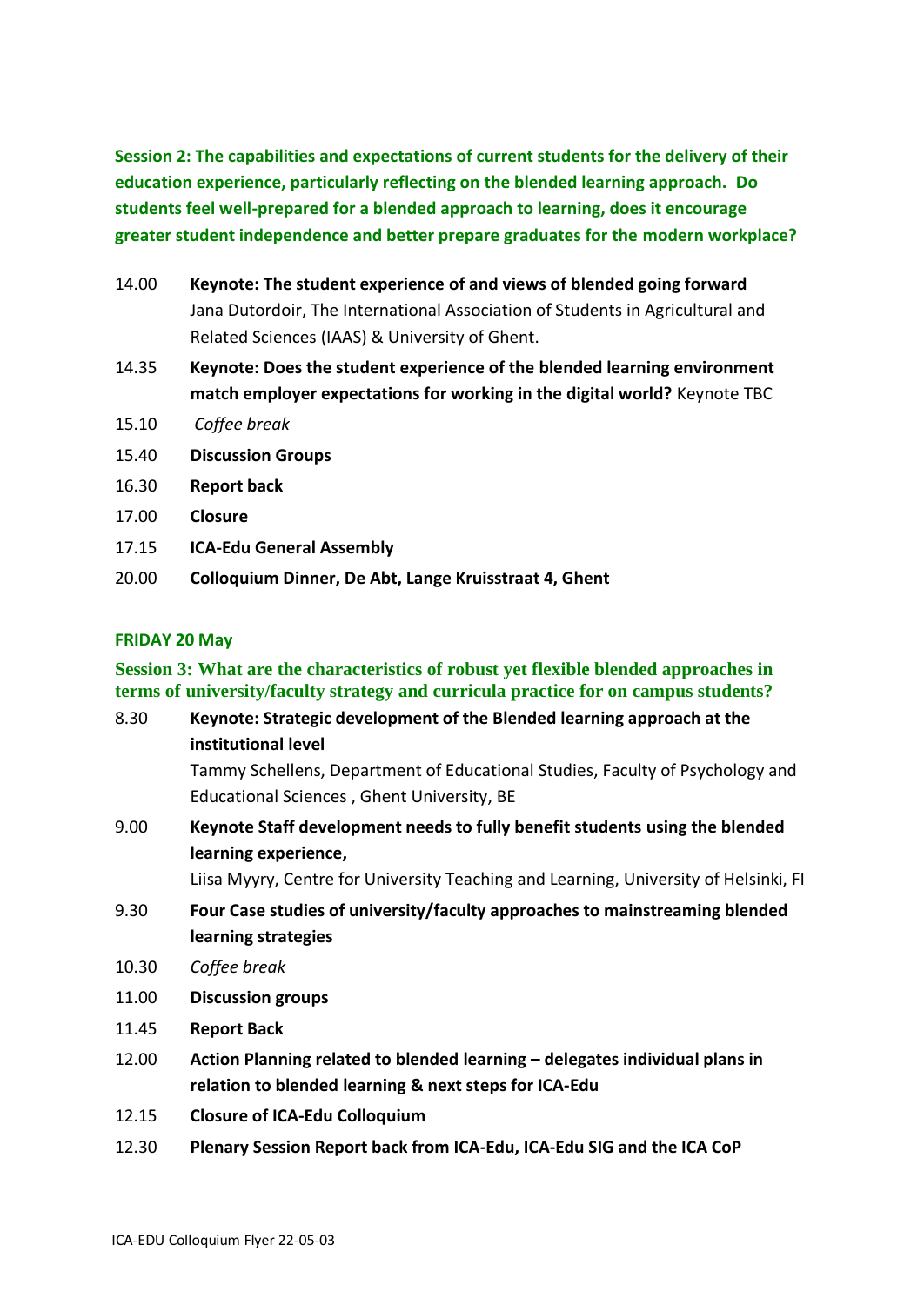**Session 2: The capabilities and expectations of current students for the delivery of their education experience, particularly reflecting on the blended learning approach. Do students feel well-prepared for a blended approach to learning, does it encourage greater student independence and better prepare graduates for the modern workplace?**

- 14.00 **Keynote: The student experience of and views of blended going forward** Jana Dutordoir, The International Association of Students in Agricultural and Related Sciences (IAAS) & University of Ghent.
- 14.35 **Keynote: Does the student experience of the blended learning environment match employer expectations for working in the digital world?** Keynote TBC
- 15.10 *Coffee break*
- 15.40 **Discussion Groups**
- 16.30 **Report back**
- 17.00 **Closure**
- 17.15 **ICA-Edu General Assembly**
- 20.00 **Colloquium Dinner, De Abt, Lange Kruisstraat 4, Ghent**

#### **FRIDAY 20 May**

#### **Session 3: What are the characteristics of robust yet flexible blended approaches in terms of university/faculty strategy and curricula practice for on campus students?**

### 8.30 **Keynote: Strategic development of the Blended learning approach at the institutional level**

Tammy Schellens, Department of Educational Studies, Faculty of Psychology and Educational Sciences , Ghent University, BE

9.00 **Keynote Staff development needs to fully benefit students using the blended learning experience,** 

Liisa Myyry, Centre for University Teaching and Learning, University of Helsinki, FI

- 9.30 **Four Case studies of university/faculty approaches to mainstreaming blended learning strategies**
- 10.30 *Coffee break*
- 11.00 **Discussion groups**
- 11.45 **Report Back**
- 12.00 **Action Planning related to blended learning – delegates individual plans in relation to blended learning & next steps for ICA-Edu**
- 12.15 **Closure of ICA-Edu Colloquium**
- 12.30 **Plenary Session Report back from ICA-Edu, ICA-Edu SIG and the ICA CoP**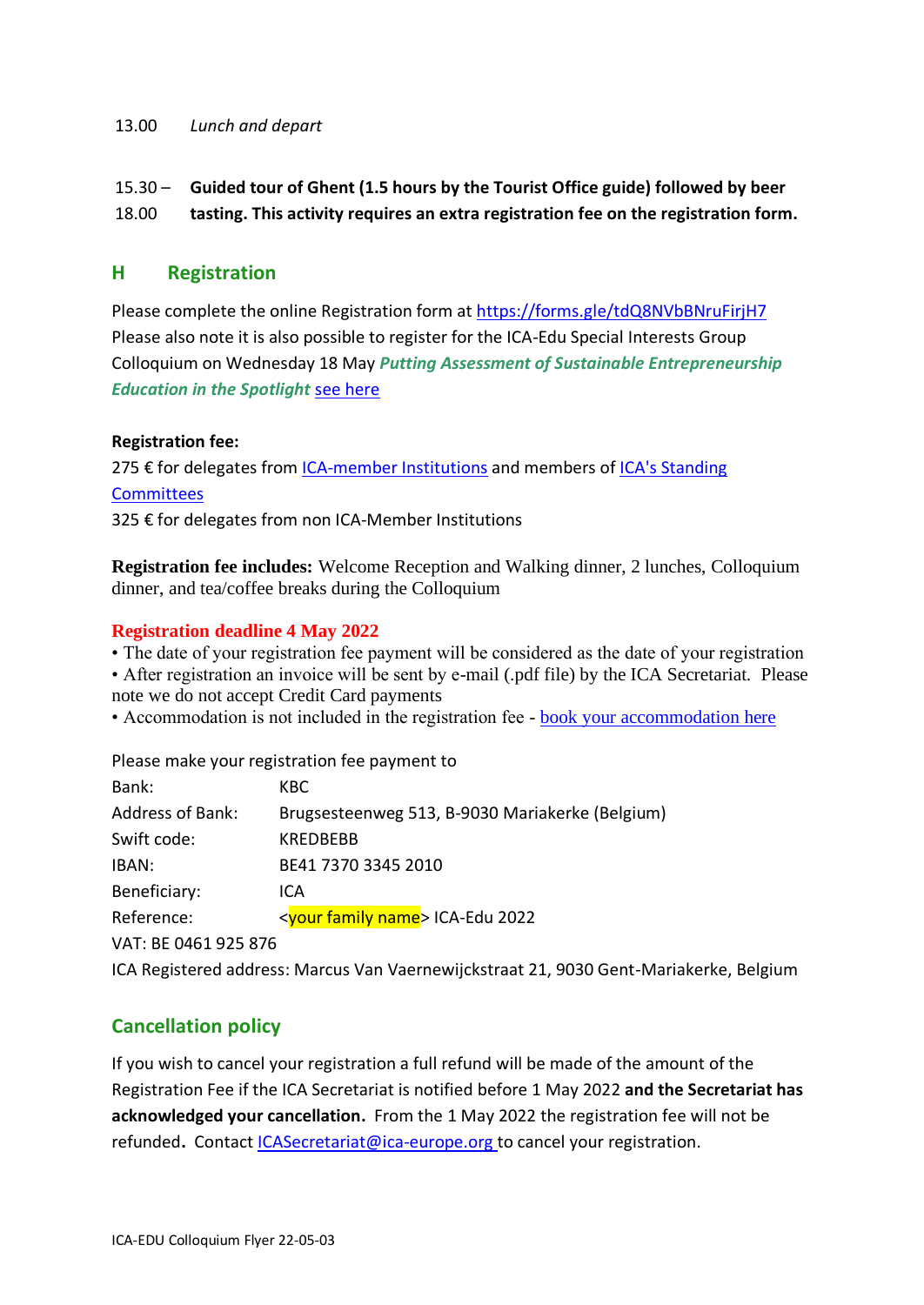#### 13.00 *Lunch and depart*

15.30 – **Guided tour of Ghent (1.5 hours by the Tourist Office guide) followed by beer** 

18.00 **tasting. This activity requires an extra registration fee on the registration form.**

#### **H Registration**

Please complete the online [Registration form](https://goo.gl/forms/d4BjZlCbkPUQiOUY2) at<https://forms.gle/tdQ8NVbBNruFirjH7> Please also note it is also possible to register for the ICA-Edu Special Interests Group Colloquium on Wednesday 18 May *Putting Assessment of Sustainable Entrepreneurship Education in the Spotlight* see [here](https://www.ica-europe.info/conference/ica-edu-sig-colloquium-entrepreneurship-education)

#### **Registration fee:**

275 € for delegates from [ICA-member Institutions](file:///C:/Users/Utilisateur/Documents/Simon/ica/ICA%20Standing%20Committees/ICA-Edu%20Network/ICA-Edu%202022%20Colloquium/Progarmme%20planning%20ICA-Edu/index.php%3foption=com_content&view=article&id=169:ica-member-institutions&catid=115:organisation&Itemid=212) and members of ICA's Standing **[Committees](file:///C:/Users/Utilisateur/Documents/Simon/ica/ICA%20Standing%20Committees/ICA-Edu%20Network/ICA-Edu%202022%20Colloquium/Progarmme%20planning%20ICA-Edu/index.php%3foption=com_content&view=article&id=143:ica-standing-committees&catid=35:standing-committees)** 

325 € for delegates from non ICA-Member Institutions

**Registration fee includes:** Welcome Reception and Walking dinner, 2 lunches, Colloquium dinner, and tea/coffee breaks during the Colloquium

#### **Registration deadline 4 May 2022**

• The date of your registration fee payment will be considered as the date of your registration • After registration an invoice will be sent by e-mail (.pdf file) by the ICA Secretariat. Please note we do not accept Credit Card payments

• Accommodation is not included in the registration fee - [book your accommodation here](https://www.ica-europe.info/select-your-hotel)

Please make your registration fee payment to

| Bank:                                                                                  | KBC                                             |
|----------------------------------------------------------------------------------------|-------------------------------------------------|
| <b>Address of Bank:</b>                                                                | Brugsesteenweg 513, B-9030 Mariakerke (Belgium) |
| Swift code:                                                                            | <b>KREDBEBB</b>                                 |
| IBAN:                                                                                  | BE41 7370 3345 2010                             |
| Beneficiary:                                                                           | ICA                                             |
| Reference:                                                                             | <your family="" name=""> ICA-Edu 2022</your>    |
| VAT: BE 0461 925 876                                                                   |                                                 |
| ICA Registered address: Marcus Van Vaernewijckstraat 21, 9030 Gent-Mariakerke, Belgium |                                                 |

## **Cancellation policy**

If you wish to cancel your registration a full refund will be made of the amount of the Registration Fee if the ICA Secretariat is notified before 1 May 2022 **and the Secretariat has acknowledged your cancellation.** From the 1 May 2022 the registration fee will not be refunded**.** Contact [ICASecretariat@ica-europe.org](mailto:ICASecretariat@ica-europe.org) to cancel your registration.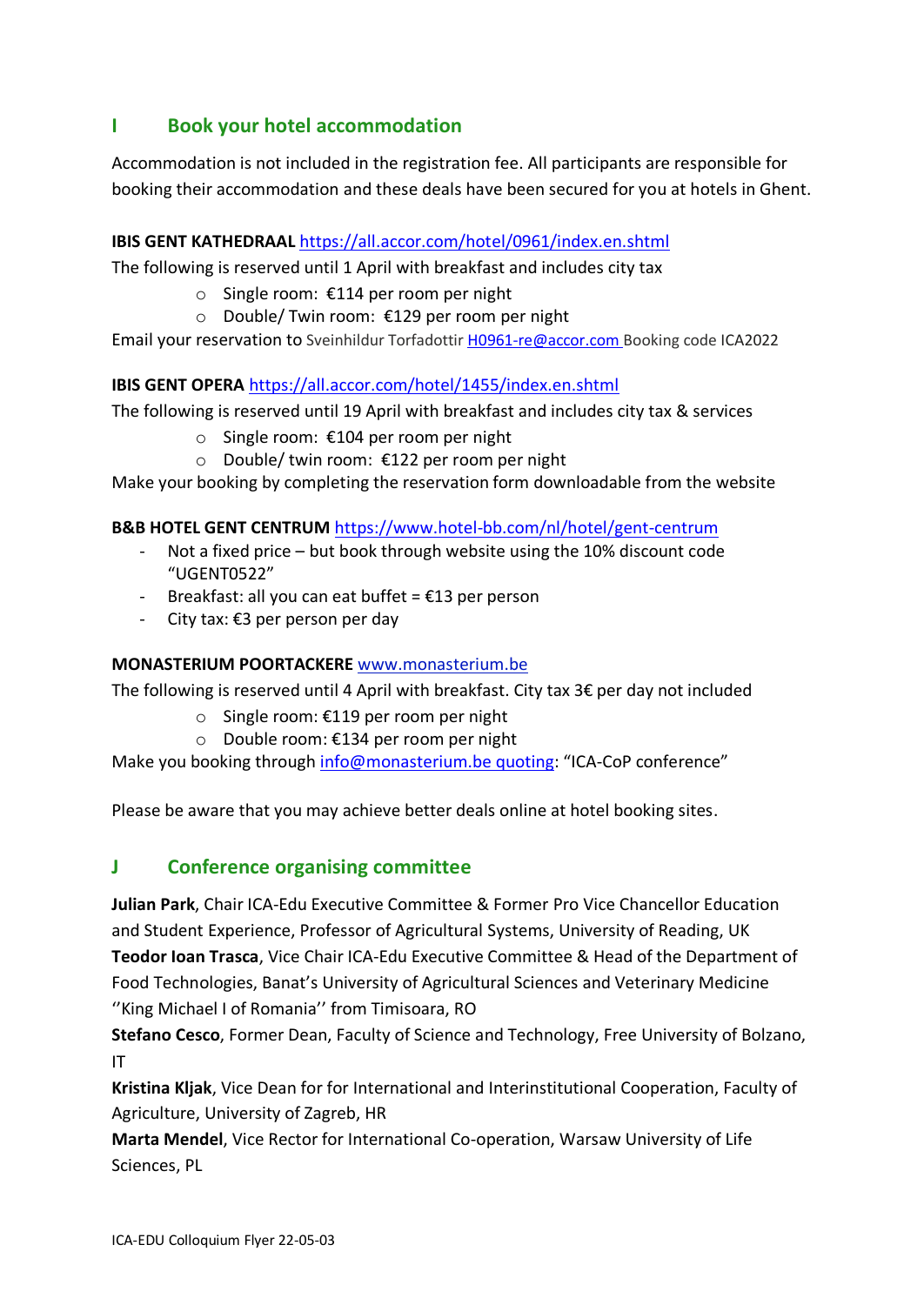# **I Book your hotel accommodation**

Accommodation is not included in the registration fee. All participants are responsible for booking their accommodation and these deals have been secured for you at hotels in Ghent.

### **IBIS GENT KATHEDRAAL** <https://all.accor.com/hotel/0961/index.en.shtml>

The following is reserved until 1 April with breakfast and includes city tax

- o Single room: €114 per room per night
- o Double/ Twin room: €129 per room per night

Email your reservation to Sveinhildur Torfadotti[r H0961-re@accor.com](mailto:H0961-re@accor.com) Booking code ICA2022

### **IBIS GENT OPERA** <https://all.accor.com/hotel/1455/index.en.shtml>

The following is reserved until 19 April with breakfast and includes city tax & services

- o Single room: €104 per room per night
- o Double/ twin room: €122 per room per night

Make your booking by completing the reservation form downloadable from the website

#### **B&B HOTEL GENT CENTRUM** [https://www.hotel-bb.com/nl/hotel/gent-centrum](https://eur03.safelinks.protection.outlook.com/?url=https%3A%2F%2Fwww.hotel-bb.com%2Fnl%2Fhotel%2Fgent-centrum&data=04%7C01%7CJessie.Lefebre%40UGent.be%7C4f5ccf1a710a41fccc7108d9f6a643ca%7Cd7811cdeecef496c8f91a1786241b99c%7C1%7C0%7C637812016220412213%7CUnknown%7CTWFpbGZsb3d8eyJWIjoiMC4wLjAwMDAiLCJQIjoiV2luMzIiLCJBTiI6Ik1haWwiLCJXVCI6Mn0%3D%7C3000&sdata=QS%2B9H%2BjKPlTbdq7XxWePlNEap3K0qUkbciRS4yEiYos%3D&reserved=0)

- Not a fixed price but book through website using the 10% discount code "UGENT0522"
- Breakfast: all you can eat buffet =  $£13$  per person
- City tax: €3 per person per day

## **MONASTERIUM POORTACKERE** [www.monasterium.be](https://eur03.safelinks.protection.outlook.com/?url=http%3A%2F%2Fwww.monasterium.be%2F&data=04%7C01%7Cclues%40abdn.ac.uk%7C93ebaa7c855647c795d208d9e70c36cb%7C8c2b19ad5f9c49d490773ec3cfc52b3f%7C0%7C0%7C637794862060133135%7CUnknown%7CTWFpbGZsb3d8eyJWIjoiMC4wLjAwMDAiLCJQIjoiV2luMzIiLCJBTiI6Ik1haWwiLCJXVCI6Mn0%3D%7C3000&sdata=i%2BeziiQ%2FFeMmDpVd2wV25rKHyQSFHtKeq%2BYKsspp0e8%3D&reserved=0)

The following is reserved until 4 April with breakfast. City tax  $3 \epsilon$  per day not included

- o Single room: €119 per room per night
- o Double room: €134 per room per night

Make you booking through [info@monasterium.be](mailto:info@monasterium.be) quoting: "ICA-CoP conference"

Please be aware that you may achieve better deals online at hotel booking sites.

# **J Conference organising committee**

**Julian Park**, Chair ICA-Edu Executive Committee & Former Pro Vice Chancellor Education and Student Experience, Professor of Agricultural Systems, University of Reading, UK **Teodor Ioan Trasca**, Vice Chair ICA-Edu Executive Committee & Head of the Department of Food Technologies, Banat's University of Agricultural Sciences and Veterinary Medicine ''King Michael I of Romania'' from Timisoara, RO

**Stefano Cesco**, Former Dean, Faculty of Science and Technology, Free University of Bolzano, IT

**Kristina Kljak**, Vice Dean for for International and Interinstitutional Cooperation, Faculty of Agriculture, University of Zagreb, HR

**Marta Mendel**, Vice Rector for International Co-operation, Warsaw University of Life Sciences, PL